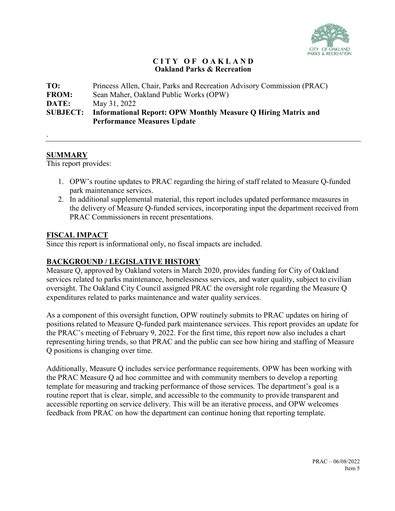

## **C I T Y O F O A K L A N D Oakland Parks & Recreation**

**TO:** Princess Allen, Chair, Parks and Recreation Advisory Commission (PRAC) **FROM:** Sean Maher, Oakland Public Works (OPW) **DATE:** May 31, 2022 **SUBJECT: Informational Report: OPW Monthly Measure Q Hiring Matrix and Performance Measures Update**

## **SUMMARY**

.

This report provides:

- 1. OPW's routine updates to PRAC regarding the hiring of staff related to Measure Q-funded park maintenance services.
- 2. In additional supplemental material, this report includes updated performance measures in the delivery of Measure Q-funded services, incorporating input the department received from PRAC Commissioners in recent presentations.

## **FISCAL IMPACT**

Since this report is informational only, no fiscal impacts are included.

## **BACKGROUND / LEGISLATIVE HISTORY**

Measure Q, approved by Oakland voters in March 2020, provides funding for City of Oakland services related to parks maintenance, homelessness services, and water quality, subject to civilian oversight. The Oakland City Council assigned PRAC the oversight role regarding the Measure Q expenditures related to parks maintenance and water quality services.

As a component of this oversight function, OPW routinely submits to PRAC updates on hiring of positions related to Measure Q-funded park maintenance services. This report provides an update for the PRAC's meeting of February 9, 2022. For the first time, this report now also includes a chart representing hiring trends, so that PRAC and the public can see how hiring and staffing of Measure Q positions is changing over time.

Additionally, Measure Q includes service performance requirements. OPW has been working with the PRAC Measure Q ad hoc committee and with community members to develop a reporting template for measuring and tracking performance of those services. The department's goal is a routine report that is clear, simple, and accessible to the community to provide transparent and accessible reporting on service delivery. This will be an iterative process, and OPW welcomes feedback from PRAC on how the department can continue honing that reporting template.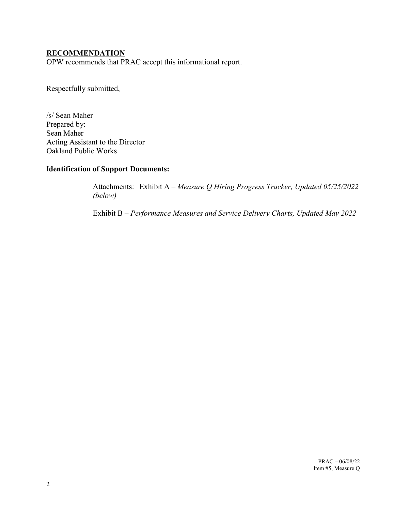## **RECOMMENDATION**

OPW recommends that PRAC accept this informational report.

Respectfully submitted,

/s/ Sean Maher Prepared by: Sean Maher Acting Assistant to the Director Oakland Public Works

## I**dentification of Support Documents:**

Attachments: Exhibit A – *Measure Q Hiring Progress Tracker, Updated 05/25/2022 (below)*

Exhibit B – *Performance Measures and Service Delivery Charts, Updated May 2022*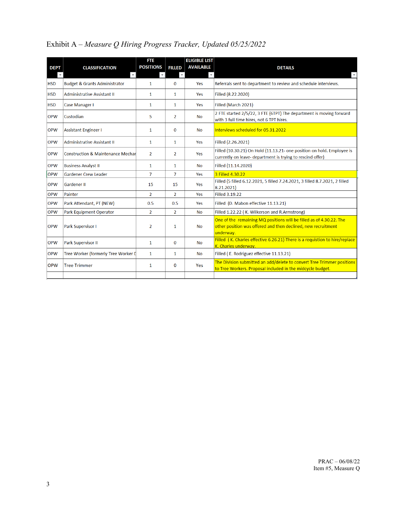# Exhibit A – *Measure Q Hiring Progress Tracker, Updated 05/25/2022*

|             |                                              | <b>FTE</b>       |                | <b>ELIGIBLE LIST</b> |                                                                                                                                                   |
|-------------|----------------------------------------------|------------------|----------------|----------------------|---------------------------------------------------------------------------------------------------------------------------------------------------|
| <b>DEPT</b> | <b>CLASSIFICATION</b>                        | <b>POSITIONS</b> | <b>FILLED</b>  | <b>AVAILABLE</b>     | <b>DETAILS</b>                                                                                                                                    |
|             |                                              |                  |                |                      |                                                                                                                                                   |
| <b>HSD</b>  | <b>Budget &amp; Grants Administrator</b>     | 1                | $\Omega$       | Yes                  | Referrals sent to department to review and schedule interviews.                                                                                   |
| <b>HSD</b>  | <b>Administrative Assistant II</b>           | $\mathbf{1}$     | $\mathbf{1}$   | Yes                  | Filled (8.22.2020)                                                                                                                                |
| <b>HSD</b>  | Case Manager I                               | 1                | 1              | <b>Yes</b>           | Filled (March 2021)                                                                                                                               |
| <b>OPW</b>  | Custodian                                    | 5                | $\overline{2}$ | <b>No</b>            | 2 FTE started 2/5/22, 3 FTE (6TPT) The department is moving forward<br>with 3 full time hires, not 6 TPT hires.                                   |
| <b>OPW</b>  | <b>Assistant Engineer I</b>                  | 1                | $\Omega$       | <b>No</b>            | Interviews scheduled for 05.31.2022                                                                                                               |
| <b>OPW</b>  | <b>Administrative Assistant II</b>           | $\mathbf{1}$     | $\mathbf{1}$   | Yes                  | Filled (2.26.2021)                                                                                                                                |
| <b>OPW</b>  | <b>Construction &amp; Maintenance Mechar</b> | $\overline{2}$   | $\overline{2}$ | Yes                  | Filled (10.30.21) On Hold (11.13.21- one position on hold. Employee is<br>currently on leave- department is trying to rescind offer)              |
| <b>OPW</b>  | <b>Business Analyst II</b>                   | 1                | $\mathbf{1}$   | No                   | Filled (11.14.2020)                                                                                                                               |
| <b>OPW</b>  | <b>Gardener Crew Leader</b>                  | $\overline{7}$   | $\overline{7}$ | Yes                  | 3 Filled 4.30.22                                                                                                                                  |
| <b>OPW</b>  | <b>Gardener II</b>                           | 15               | 15             | Yes                  | Filled (5 filled 6.12.2021, 5 filled 7.24.2021, 3 filled 8.7.2021, 2 filled<br>8.21.2021)                                                         |
| <b>OPW</b>  | Painter                                      | $\overline{2}$   | $\overline{2}$ | Yes                  | Filled 3.19.22                                                                                                                                    |
| <b>OPW</b>  | Park Attendant, PT (NEW)                     | 0.5              | 0.5            | Yes                  | Filled (D. Mabon effective 11.13.21)                                                                                                              |
| <b>OPW</b>  | Park Equipment Operator                      | $\overline{2}$   | $\overline{2}$ | <b>No</b>            | Filled 1.22.22 (K. Wilkerson and R.Armstrong)                                                                                                     |
| <b>OPW</b>  | <b>Park Supervisor I</b>                     | $\overline{2}$   | 1              | <b>No</b>            | One of the remaining MQ positions will be filled as of 4.30.22. The<br>other position was offered and then declined, new recruitment<br>underway. |
| <b>OPW</b>  | Park Supervisor II                           | $\mathbf{1}$     | $\mathbf{0}$   | <b>No</b>            | Filled (K. Charles effective 6.26.21)-There is a requistion to hire/replace<br>K. Charles underway.                                               |
| <b>OPW</b>  | Tree Worker (formerly Tree Worker [          | 1                | 1              | <b>No</b>            | Filled (E. Rodriguez effective 11.13.21)                                                                                                          |
| <b>OPW</b>  | <b>Tree Trimmer</b>                          | 1                | 0              | Yes                  | The Division submitted an add/delete to convert Tree Trimmer positions<br>to Tree Workers. Proposal included in the midcycle budget.              |
|             |                                              |                  |                |                      |                                                                                                                                                   |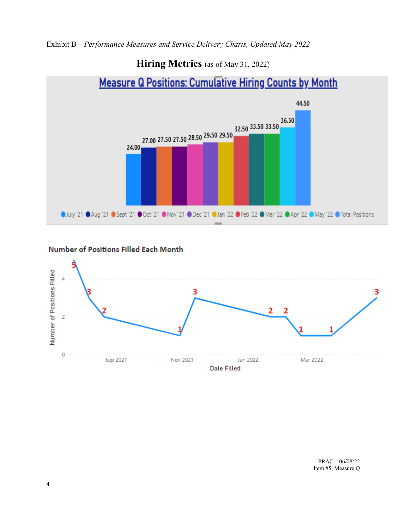Exhibit B – *Performance Measures and Service Delivery Charts, Updated May 2022*

# **Hiring Metrics** (as of May 31, 2022)



## **Number of Positions Filled Each Month**

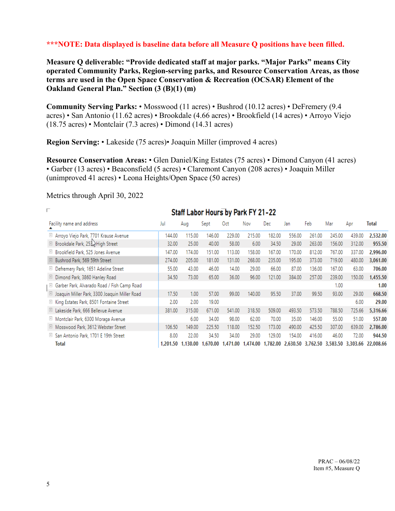## **\*\*\*NOTE: Data displayed is baseline data before all Measure Q positions have been filled.**

**Measure Q deliverable: "Provide dedicated staff at major parks. "Major Parks" means City operated Community Parks, Region-serving parks, and Resource Conservation Areas, as those terms are used in the Open Space Conservation & Recreation (OCSAR) Element of the Oakland General Plan." Section (3 (B)(1) (m)** 

**Community Serving Parks:** • Mosswood (11 acres) • Bushrod (10.12 acres) • DeFremery (9.4 acres) • San Antonio (11.62 acres) • Brookdale (4.66 acres) • Brookfield (14 acres) • Arroyo Viejo (18.75 acres) • Montclair (7.3 acres) • Dimond (14.31 acres)

**Region Serving:** • Lakeside (75 acres)• Joaquin Miller (improved 4 acres)

**Resource Conservation Areas:** • Glen Daniel/King Estates (75 acres) • Dimond Canyon (41 acres) • Garber (13 acres) • Beaconsfield (5 acres) • Claremont Canyon (208 acres) • Joaquin Miller (unimproved 41 acres) • Leona Heights/Open Space (50 acres)

|            | Staff Labor Hours by Park FY 21-22                |        |                   |          |          |          |        |                   |        |        |                            |              |
|------------|---------------------------------------------------|--------|-------------------|----------|----------|----------|--------|-------------------|--------|--------|----------------------------|--------------|
|            | Facility name and address                         | Jul    | Aug               | Sept     | Oct      | Nov      | Dec.   | Jan               | Feb    | Mar    | Apr                        | <b>Total</b> |
|            | <b>E</b> Arroyo Viejo Park, 7701 Krause Avenue    | 144.00 | 115.00            | 146.00   | 229.00   | 215.00   | 182.00 | 556.00            | 261.00 | 245,00 | 439.00                     | 2,532.00     |
|            | <b>El Brookdale Park, 253</b> High Street         | 32.00  | 25.00             | 40.00    | 58.00    | 6.00     | 34.50  | 29.00             | 263.00 | 156.00 | 312.00                     | 955.50       |
|            | <b>El Brookfield Park, 525 Jones Avenue</b>       | 147.00 | 174.00            | 151.00   | 113.00   | 158.00   | 167.00 | 170.00            | 812.00 | 767.00 | 337.00                     | 2,996.00     |
|            | <b>El Bushrod Park, 569 59th Street</b>           | 274.00 | 205.00            | 181.00   | 131.00   | 268.00   | 235.00 | 195.00            | 373.00 | 719.00 | 480.00                     | 3,061.00     |
|            | <b>El</b> Defremery Park, 1651 Adeline Street     | 55.00  | 43.00             | 46.00    | 14.00    | 29.00    | 66.00  | 87.00             | 136.00 | 167.00 | 63.00                      | 706.00       |
| $\pm$      | Dimond Park, 3860 Hanley Road                     | 34.50  | 73.00             | 65.00    | 36.00    | 96.00    | 121.00 | 384.00            | 257.00 | 239.00 | 150.00                     | 1,455.50     |
|            | ⊞ Garber Park, Alvarado Road / Fish Camp Road     |        |                   |          |          |          |        |                   |        | 1.00   |                            | 1.00         |
| $\boxplus$ | Joaquin Miller Park, 3300 Joaquin Miller Road     | 17.50  | 1.00              | 57.00    | 99.00    | 140.00   | 95.50  | 37.00             | 99.50  | 93.00  | 29.00                      | 668.50       |
|            | <b>El King Estates Park, 8501 Fontaine Street</b> | 2.00   | 2.00              | 19.00    |          |          |        |                   |        |        | 6.00                       | 29.00        |
|            | <b>El Lakeside Park, 666 Bellevue Avenue</b>      | 381.00 | 315.00            | 671.00   | 541.00   | 318.50   | 509.00 | 493.50            | 573.50 | 788.50 | 725.66                     | 5,316.66     |
|            | <b>El Montclair Park, 6300 Moraga Avenue</b>      |        | 6.00              | 34.00    | 98.00    | 62.00    | 70.00  | 35.00             | 146.00 | 55.00  | 51.00                      | 557.00       |
|            | <b>El Mosswood Park, 3612 Webster Street</b>      | 106.50 | 149.00            | 225.50   | 118.00   | 152.50   | 173.00 | 490.00            | 425.50 | 307.00 | 639.00                     | 2,786.00     |
|            | <b>El San Antonio Park, 1701 E 19th Street</b>    | 8.00   | 22.00             | 34.50    | 34.00    | 29.00    | 129.00 | 154.00            | 416.00 | 46.00  | 72.00                      | 944.50       |
|            | Total                                             |        | 1.201.50 1.130.00 | 1,670,00 | 1,471.00 | 1,474.00 |        | 1,782.00 2,630.50 |        |        | 3,762,50 3,583,50 3,303,66 | 22,008.66    |

### Metrics through April 30, 2022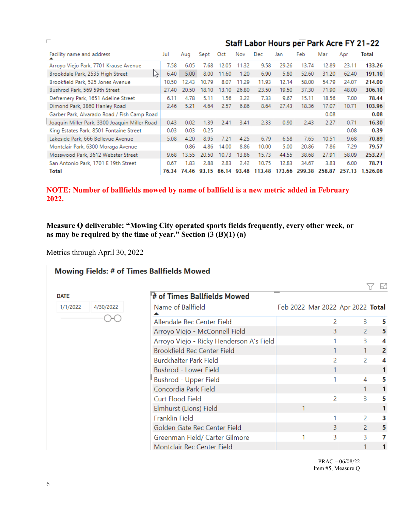|                                               |       | Staff Labor Hours per Park Acre FY 21-22 |       |       |       |        |        |        |        |        |          |
|-----------------------------------------------|-------|------------------------------------------|-------|-------|-------|--------|--------|--------|--------|--------|----------|
| Facility name and address                     | Jul   | Aug                                      | Sept  | Oct   | Nov   | Dec    | Jan    | Feb    | Mar    | Apr    | Total    |
| Arroyo Viejo Park, 7701 Krause Avenue         | 7.58  | 6.05                                     | 7.68  | 12.05 | 11.32 | 9.58   | 29.26  | 13.74  | 12.89  | 23.11  | 133.26   |
| K<br>Brookdale Park, 2535 High Street         | 6.40  | 5.00                                     | 8.00  | 11.60 | 1.20  | 6.90   | 5.80   | 52.60  | 31.20  | 62.40  | 191.10   |
| Brookfield Park, 525 Jones Avenue             | 10.50 | 12.43                                    | 10.79 | 8.07  | 11.29 | 11.93  | 12.14  | 58.00  | 54.79  | 24.07  | 214.00   |
| Bushrod Park, 569 59th Street                 | 27.40 | 20.50                                    | 18.10 | 13.10 | 26.80 | 23.50  | 19.50  | 37.30  | 71.90  | 48.00  | 306.10   |
| Defremery Park, 1651 Adeline Street           | 6.11  | 4.78                                     | 5.11  | 1.56  | 3.22  | 7.33   | 9.67   | 15.11  | 18.56  | 7.00   | 78.44    |
| Dimond Park, 3860 Hanley Road                 | 2.46  | 5.21                                     | 4.64  | 2.57  | 6.86  | 8.64   | 27.43  | 18.36  | 17.07  | 10.71  | 103.96   |
| Garber Park, Alvarado Road / Fish Camp Road   |       |                                          |       |       |       |        |        |        | 0.08   |        | 0.08     |
| Joaquin Miller Park, 3300 Joaquin Miller Road | 0.43  | 0.02                                     | 1.39  | 2.41  | 3.41  | 2.33   | 0.90   | 2.43   | 2.27   | 0.71   | 16.30    |
| King Estates Park, 8501 Fontaine Street       | 0.03  | 0.03                                     | 0.25  |       |       |        |        |        |        | 0.08   | 0.39     |
| Lakeside Park, 666 Bellevue Avenue            | 5.08  | 4.20                                     | 8.95  | 7.21  | 4.25  | 6.79   | 6.58   | 7.65   | 10.51  | 9.68   | 70.89    |
| Montclair Park, 6300 Moraga Avenue            |       | 0.86                                     | 4.86  | 14.00 | 8.86  | 10.00  | 5.00   | 20.86  | 7.86   | 7.29   | 79.57    |
| Mosswood Park, 3612 Webster Street            | 9.68  | 13.55                                    | 20.50 | 10.73 | 13.86 | 15.73  | 44.55  | 38.68  | 27.91  | 58.09  | 253.27   |
| San Antonio Park, 1701 E 19th Street          | 0.67  | 1.83                                     | 2.88  | 2.83  | 2.42  | 10.75  | 12.83  | 34.67  | 3.83   | 6.00   | 78.71    |
| Total                                         | 76.34 | 74.46                                    | 93.15 | 86.14 | 93.48 | 113.48 | 173.66 | 299.38 | 258.87 | 257.13 | 1,526.08 |

## **NOTE: Number of ballfields mowed by name of ballfield is a new metric added in February 2022.**

## **Measure Q deliverable: "Mowing City operated sports fields frequently, every other week, or as may be required by the time of year." Section (3 (B)(1) (a)**

Metrics through April 30, 2022

4/30/2022

# **Mowing Fields: # of Times Ballfields Mowed**

**DATE** 

1/1/2022

|        | # of Times Ballfields Mowed              |   |   |                                                                                                                                                                  |   |
|--------|------------------------------------------|---|---|------------------------------------------------------------------------------------------------------------------------------------------------------------------|---|
| )/2022 | Name of Ballfield                        |   |   |                                                                                                                                                                  |   |
|        | Allendale Rec Center Field               |   | 2 | 3                                                                                                                                                                | 5 |
|        | Arroyo Viejo - McConnell Field           |   |   |                                                                                                                                                                  | 5 |
|        | Arroyo Viejo - Ricky Henderson A's Field |   |   | 3                                                                                                                                                                | 4 |
|        | Brookfield Rec Center Field              |   |   |                                                                                                                                                                  | 2 |
|        | <b>Burckhalter Park Field</b>            |   |   |                                                                                                                                                                  | 4 |
|        | Bushrod - Lower Field                    |   |   |                                                                                                                                                                  |   |
|        | Bushrod - Upper Field                    |   |   | 4                                                                                                                                                                | 5 |
|        | Concordia Park Field                     |   |   |                                                                                                                                                                  |   |
|        | Curt Flood Field                         |   |   | Feb 2022 Mar 2022 Apr 2022 Total<br>3.<br>$\mathcal{P}$<br>$\mathcal{P}$<br>$\mathcal{P}$<br>3<br>$\mathcal{P}$<br>$\mathcal{P}$<br>3<br>$\mathcal{P}$<br>R<br>3 | 5 |
|        | Elmhurst (Lions) Field                   | 1 |   |                                                                                                                                                                  |   |
|        | <b>Franklin Field</b>                    |   |   |                                                                                                                                                                  | з |
|        | Golden Gate Rec Center Field             |   |   |                                                                                                                                                                  | 5 |
|        | Greenman Field/ Carter Gilmore           |   |   |                                                                                                                                                                  | 7 |
|        | Montclair Rec Center Field               |   |   |                                                                                                                                                                  |   |
|        |                                          |   |   |                                                                                                                                                                  |   |

 PRAC – 06/08/22 Item #5, Measure Q Y E

П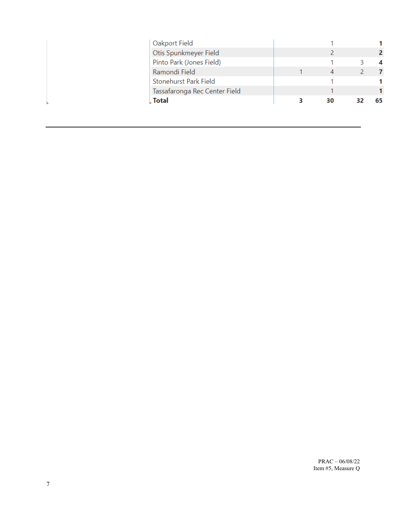| Oakport Field                 |   |    |    |
|-------------------------------|---|----|----|
| Otis Spunkmeyer Field         |   |    |    |
| Pinto Park (Jones Field)      |   |    |    |
| Ramondi Field                 |   | 4  |    |
| Stonehurst Park Field         |   |    |    |
| Tassafaronga Rec Center Field |   |    |    |
| Total                         | 3 | 30 | 65 |
|                               |   |    |    |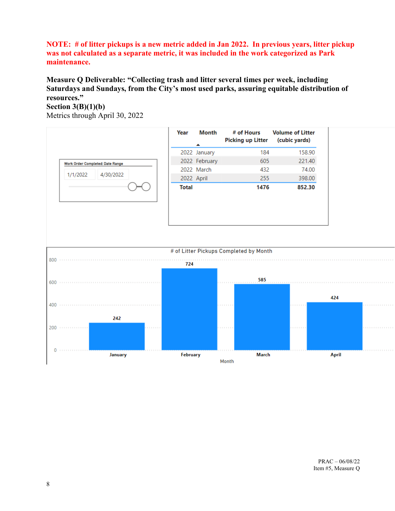## **NOTE: # of litter pickups is a new metric added in Jan 2022. In previous years, litter pickup was not calculated as a separate metric, it was included in the work categorized as Park maintenance.**

# **Measure Q Deliverable: "Collecting trash and litter several times per week, including Saturdays and Sundays, from the City's most used parks, assuring equitable distribution of resources."**

## **Section 3(B)(1)(b)**

Metrics through April 30, 2022